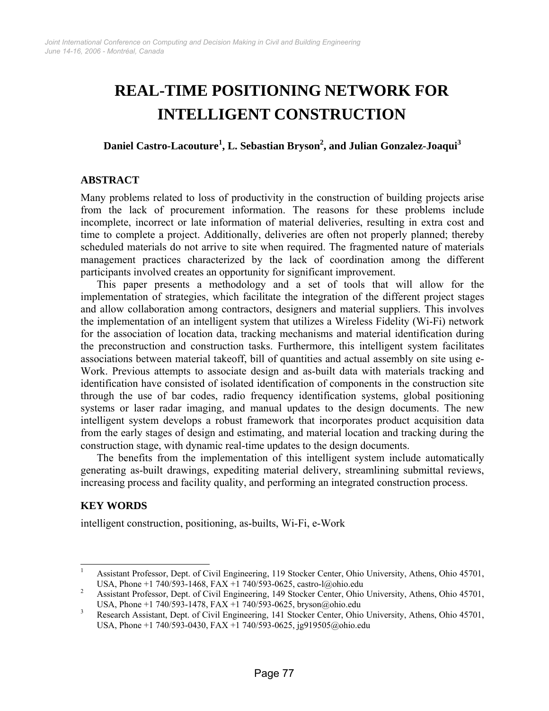# **REAL-TIME POSITIONING NETWORK FOR INTELLIGENT CONSTRUCTION**

**Daniel Castro-Lacouture1 , L. Sebastian Bryson2 , and Julian Gonzalez-Joaqui<sup>3</sup>**

### **ABSTRACT**

Many problems related to loss of productivity in the construction of building projects arise from the lack of procurement information. The reasons for these problems include incomplete, incorrect or late information of material deliveries, resulting in extra cost and time to complete a project. Additionally, deliveries are often not properly planned; thereby scheduled materials do not arrive to site when required. The fragmented nature of materials management practices characterized by the lack of coordination among the different participants involved creates an opportunity for significant improvement.

This paper presents a methodology and a set of tools that will allow for the implementation of strategies, which facilitate the integration of the different project stages and allow collaboration among contractors, designers and material suppliers. This involves the implementation of an intelligent system that utilizes a Wireless Fidelity (Wi-Fi) network for the association of location data, tracking mechanisms and material identification during the preconstruction and construction tasks. Furthermore, this intelligent system facilitates associations between material takeoff, bill of quantities and actual assembly on site using e-Work. Previous attempts to associate design and as-built data with materials tracking and identification have consisted of isolated identification of components in the construction site through the use of bar codes, radio frequency identification systems, global positioning systems or laser radar imaging, and manual updates to the design documents. The new intelligent system develops a robust framework that incorporates product acquisition data from the early stages of design and estimating, and material location and tracking during the construction stage, with dynamic real-time updates to the design documents.

The benefits from the implementation of this intelligent system include automatically generating as-built drawings, expediting material delivery, streamlining submittal reviews, increasing process and facility quality, and performing an integrated construction process.

## **KEY WORDS**

intelligent construction, positioning, as-builts, Wi-Fi, e-Work

<sup>|&</sup>lt;br>|<br>| Assistant Professor, Dept. of Civil Engineering, 119 Stocker Center, Ohio University, Athens, Ohio 45701, USA, Phone +1 740/593-1468, FAX +1 740/593-0625, castro-l@ohio.edu 2<br>2. Aggistart Professor, Dant, of Civil Engineering, 140 Steeler Center, Ohio.

Assistant Professor, Dept. of Civil Engineering, 149 Stocker Center, Ohio University, Athens, Ohio 45701, USA, Phone +1 740/593-1478, FAX +1 740/593-0625, bryson@ohio.edu  $\frac{3}{2}$  Besearch Assistant Dept of Civil Engineering 141 Stocker Center Ohio

Research Assistant, Dept. of Civil Engineering, 141 Stocker Center, Ohio University, Athens, Ohio 45701, USA, Phone +1 740/593-0430, FAX +1 740/593-0625, jg919505@ohio.edu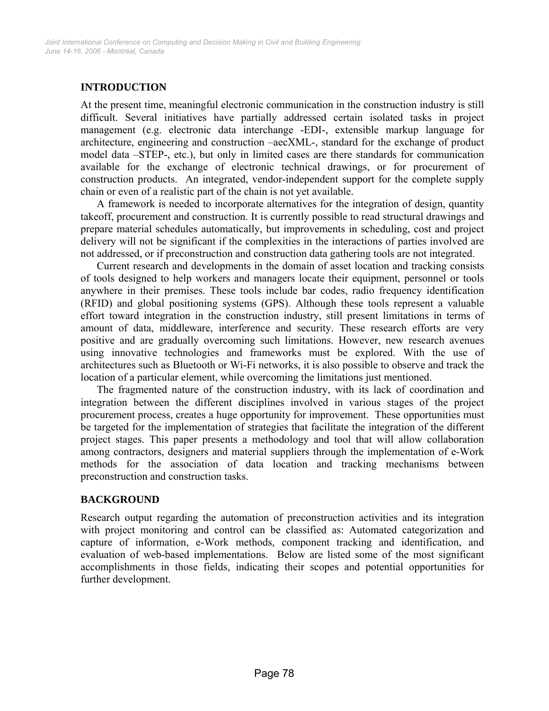## **INTRODUCTION**

At the present time, meaningful electronic communication in the construction industry is still difficult. Several initiatives have partially addressed certain isolated tasks in project management (e.g. electronic data interchange -EDI-, extensible markup language for architecture, engineering and construction –aecXML-, standard for the exchange of product model data –STEP-, etc.), but only in limited cases are there standards for communication available for the exchange of electronic technical drawings, or for procurement of construction products. An integrated, vendor-independent support for the complete supply chain or even of a realistic part of the chain is not yet available.

A framework is needed to incorporate alternatives for the integration of design, quantity takeoff, procurement and construction. It is currently possible to read structural drawings and prepare material schedules automatically, but improvements in scheduling, cost and project delivery will not be significant if the complexities in the interactions of parties involved are not addressed, or if preconstruction and construction data gathering tools are not integrated.

Current research and developments in the domain of asset location and tracking consists of tools designed to help workers and managers locate their equipment, personnel or tools anywhere in their premises. These tools include bar codes, radio frequency identification (RFID) and global positioning systems (GPS). Although these tools represent a valuable effort toward integration in the construction industry, still present limitations in terms of amount of data, middleware, interference and security. These research efforts are very positive and are gradually overcoming such limitations. However, new research avenues using innovative technologies and frameworks must be explored. With the use of architectures such as Bluetooth or Wi-Fi networks, it is also possible to observe and track the location of a particular element, while overcoming the limitations just mentioned.

The fragmented nature of the construction industry, with its lack of coordination and integration between the different disciplines involved in various stages of the project procurement process, creates a huge opportunity for improvement. These opportunities must be targeted for the implementation of strategies that facilitate the integration of the different project stages. This paper presents a methodology and tool that will allow collaboration among contractors, designers and material suppliers through the implementation of e-Work methods for the association of data location and tracking mechanisms between preconstruction and construction tasks.

#### **BACKGROUND**

Research output regarding the automation of preconstruction activities and its integration with project monitoring and control can be classified as: Automated categorization and capture of information, e-Work methods, component tracking and identification, and evaluation of web-based implementations. Below are listed some of the most significant accomplishments in those fields, indicating their scopes and potential opportunities for further development.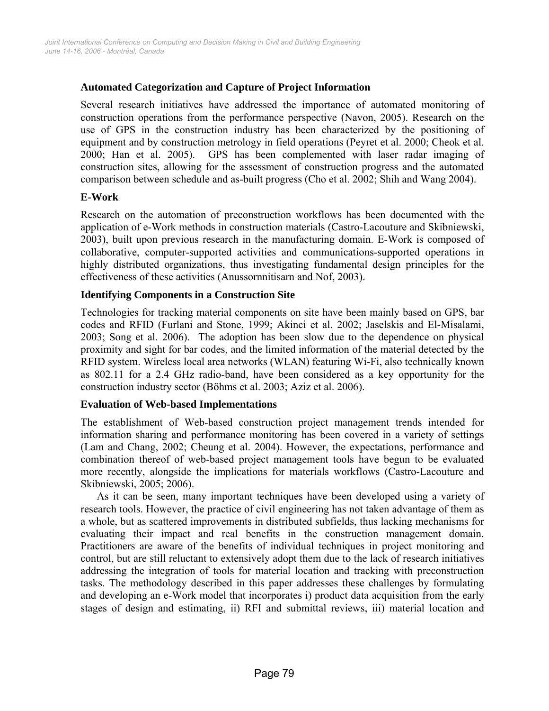#### **Automated Categorization and Capture of Project Information**

Several research initiatives have addressed the importance of automated monitoring of construction operations from the performance perspective (Navon, 2005). Research on the use of GPS in the construction industry has been characterized by the positioning of equipment and by construction metrology in field operations (Peyret et al. 2000; Cheok et al. 2000; Han et al. 2005). GPS has been complemented with laser radar imaging of construction sites, allowing for the assessment of construction progress and the automated comparison between schedule and as-built progress (Cho et al. 2002; Shih and Wang 2004).

#### **E-Work**

Research on the automation of preconstruction workflows has been documented with the application of e-Work methods in construction materials (Castro-Lacouture and Skibniewski, 2003), built upon previous research in the manufacturing domain. E-Work is composed of collaborative, computer-supported activities and communications-supported operations in highly distributed organizations, thus investigating fundamental design principles for the effectiveness of these activities (Anussornnitisarn and Nof, 2003).

#### **Identifying Components in a Construction Site**

Technologies for tracking material components on site have been mainly based on GPS, bar codes and RFID (Furlani and Stone, 1999; Akinci et al. 2002; Jaselskis and El-Misalami, 2003; Song et al. 2006). The adoption has been slow due to the dependence on physical proximity and sight for bar codes, and the limited information of the material detected by the RFID system. Wireless local area networks (WLAN) featuring Wi-Fi, also technically known as 802.11 for a 2.4 GHz radio-band, have been considered as a key opportunity for the construction industry sector (Böhms et al. 2003; Aziz et al. 2006).

#### **Evaluation of Web-based Implementations**

The establishment of Web-based construction project management trends intended for information sharing and performance monitoring has been covered in a variety of settings (Lam and Chang, 2002; Cheung et al. 2004). However, the expectations, performance and combination thereof of web-based project management tools have begun to be evaluated more recently, alongside the implications for materials workflows (Castro-Lacouture and Skibniewski, 2005; 2006).

As it can be seen, many important techniques have been developed using a variety of research tools. However, the practice of civil engineering has not taken advantage of them as a whole, but as scattered improvements in distributed subfields, thus lacking mechanisms for evaluating their impact and real benefits in the construction management domain. Practitioners are aware of the benefits of individual techniques in project monitoring and control, but are still reluctant to extensively adopt them due to the lack of research initiatives addressing the integration of tools for material location and tracking with preconstruction tasks. The methodology described in this paper addresses these challenges by formulating and developing an e-Work model that incorporates i) product data acquisition from the early stages of design and estimating, ii) RFI and submittal reviews, iii) material location and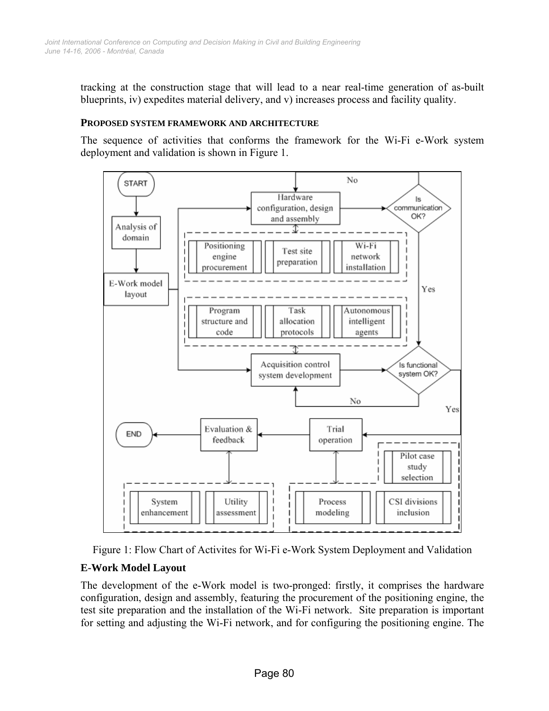tracking at the construction stage that will lead to a near real-time generation of as-built blueprints, iv) expedites material delivery, and v) increases process and facility quality.

#### **PROPOSED SYSTEM FRAMEWORK AND ARCHITECTURE**

The sequence of activities that conforms the framework for the Wi-Fi e-Work system deployment and validation is shown in Figure 1.





#### **E-Work Model Layout**

The development of the e-Work model is two-pronged: firstly, it comprises the hardware configuration, design and assembly, featuring the procurement of the positioning engine, the test site preparation and the installation of the Wi-Fi network. Site preparation is important for setting and adjusting the Wi-Fi network, and for configuring the positioning engine. The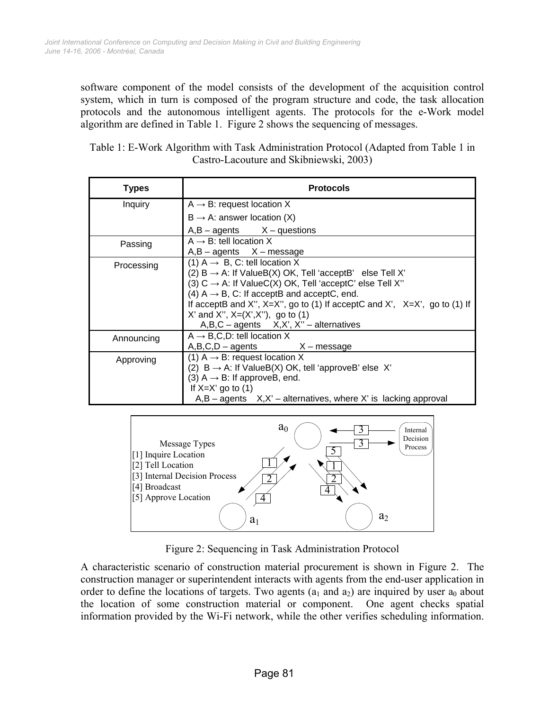software component of the model consists of the development of the acquisition control system, which in turn is composed of the program structure and code, the task allocation protocols and the autonomous intelligent agents. The protocols for the e-Work model algorithm are defined in Table 1. Figure 2 shows the sequencing of messages.

| Table 1: E-Work Algorithm with Task Administration Protocol (Adapted from Table 1 in |  |
|--------------------------------------------------------------------------------------|--|
| Castro-Lacouture and Skibniewski, 2003)                                              |  |

| <b>Types</b> | <b>Protocols</b>                                                                |
|--------------|---------------------------------------------------------------------------------|
| Inquiry      | $A \rightarrow B$ : request location X                                          |
|              | $B \rightarrow A$ : answer location (X)                                         |
|              | $A,B - agents$ $X - questions$                                                  |
| Passing      | $A \rightarrow B$ : tell location X                                             |
|              | $A,B - agents$ $X - message$                                                    |
| Processing   | (1) $A \rightarrow B$ , C: tell location X                                      |
|              | (2) $B \rightarrow A$ : If ValueB(X) OK, Tell 'acceptB' else Tell X'            |
|              | (3) $C \rightarrow A$ : If ValueC(X) OK, Tell 'acceptC' else Tell X"            |
|              | (4) $A \rightarrow B$ , C: If acceptB and acceptC, end.                         |
|              | If acceptB and X", $X=X''$ , go to (1) If acceptC and X', $X=X'$ , go to (1) If |
|              | X' and X", $X=(X',X'')$ , go to (1)                                             |
|              | $A, B, C$ – agents $X, X', X''$ – alternatives                                  |
| Announcing   | $A \rightarrow B, C, D$ : tell location X                                       |
|              | $A,B,C,D$ – agents $X$ – message                                                |
| Approving    | (1) $A \rightarrow B$ : request location X                                      |
|              | (2) $B \rightarrow A$ : If ValueB(X) OK, tell 'approveB' else X'                |
|              | (3) $A \rightarrow B$ : If approveB, end.                                       |
|              | If $X=X'$ go to (1)                                                             |
|              | $A,B$ – agents $X,X'$ – alternatives, where X' is lacking approval              |



Figure 2: Sequencing in Task Administration Protocol

A characteristic scenario of construction material procurement is shown in Figure 2. The construction manager or superintendent interacts with agents from the end-user application in order to define the locations of targets. Two agents  $(a_1 \text{ and } a_2)$  are inquired by user  $a_0$  about the location of some construction material or component. One agent checks spatial information provided by the Wi-Fi network, while the other verifies scheduling information.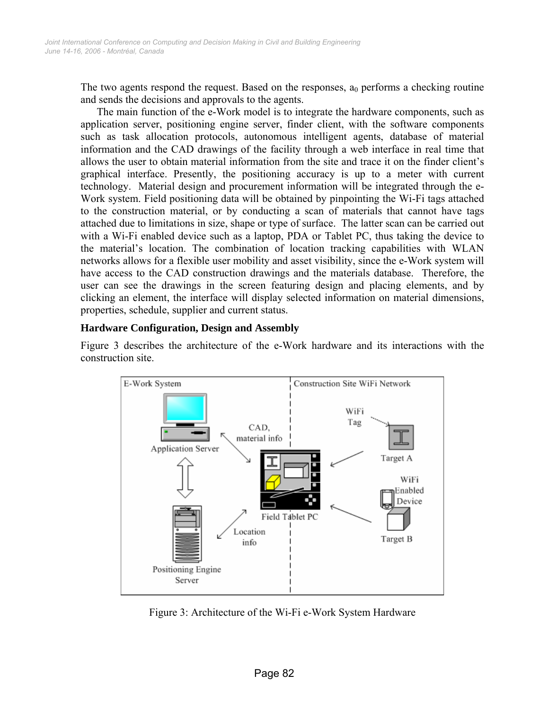The two agents respond the request. Based on the responses,  $a_0$  performs a checking routine and sends the decisions and approvals to the agents.

The main function of the e-Work model is to integrate the hardware components, such as application server, positioning engine server, finder client, with the software components such as task allocation protocols, autonomous intelligent agents, database of material information and the CAD drawings of the facility through a web interface in real time that allows the user to obtain material information from the site and trace it on the finder client's graphical interface. Presently, the positioning accuracy is up to a meter with current technology. Material design and procurement information will be integrated through the e-Work system. Field positioning data will be obtained by pinpointing the Wi-Fi tags attached to the construction material, or by conducting a scan of materials that cannot have tags attached due to limitations in size, shape or type of surface. The latter scan can be carried out with a Wi-Fi enabled device such as a laptop, PDA or Tablet PC, thus taking the device to the material's location. The combination of location tracking capabilities with WLAN networks allows for a flexible user mobility and asset visibility, since the e-Work system will have access to the CAD construction drawings and the materials database. Therefore, the user can see the drawings in the screen featuring design and placing elements, and by clicking an element, the interface will display selected information on material dimensions, properties, schedule, supplier and current status.

#### **Hardware Configuration, Design and Assembly**

Figure 3 describes the architecture of the e-Work hardware and its interactions with the construction site.



Figure 3: Architecture of the Wi-Fi e-Work System Hardware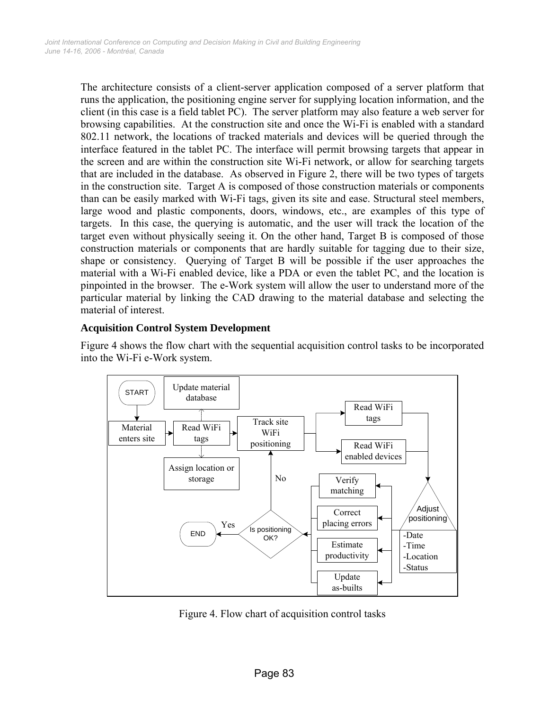The architecture consists of a client-server application composed of a server platform that runs the application, the positioning engine server for supplying location information, and the client (in this case is a field tablet PC). The server platform may also feature a web server for browsing capabilities. At the construction site and once the Wi-Fi is enabled with a standard 802.11 network, the locations of tracked materials and devices will be queried through the interface featured in the tablet PC. The interface will permit browsing targets that appear in the screen and are within the construction site Wi-Fi network, or allow for searching targets that are included in the database. As observed in Figure 2, there will be two types of targets in the construction site. Target A is composed of those construction materials or components than can be easily marked with Wi-Fi tags, given its site and ease. Structural steel members, large wood and plastic components, doors, windows, etc., are examples of this type of targets. In this case, the querying is automatic, and the user will track the location of the target even without physically seeing it. On the other hand, Target B is composed of those construction materials or components that are hardly suitable for tagging due to their size, shape or consistency. Querying of Target B will be possible if the user approaches the material with a Wi-Fi enabled device, like a PDA or even the tablet PC, and the location is pinpointed in the browser. The e-Work system will allow the user to understand more of the particular material by linking the CAD drawing to the material database and selecting the material of interest.

#### **Acquisition Control System Development**

Figure 4 shows the flow chart with the sequential acquisition control tasks to be incorporated into the Wi-Fi e-Work system.



Figure 4. Flow chart of acquisition control tasks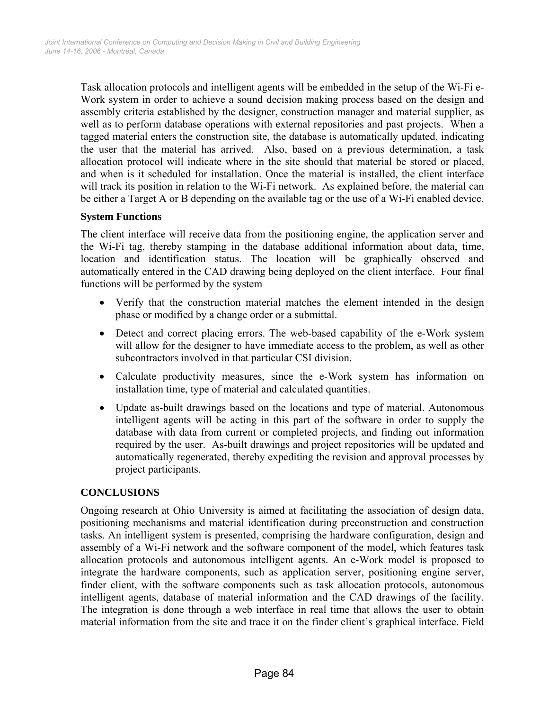Task allocation protocols and intelligent agents will be embedded in the setup of the Wi-Fi e-Work system in order to achieve a sound decision making process based on the design and assembly criteria established by the designer, construction manager and material supplier, as well as to perform database operations with external repositories and past projects. When a tagged material enters the construction site, the database is automatically updated, indicating the user that the material has arrived. Also, based on a previous determination, a task allocation protocol will indicate where in the site should that material be stored or placed, and when is it scheduled for installation. Once the material is installed, the client interface will track its position in relation to the Wi-Fi network. As explained before, the material can be either a Target A or B depending on the available tag or the use of a Wi-Fi enabled device.

#### **System Functions**

The client interface will receive data from the positioning engine, the application server and the Wi-Fi tag, thereby stamping in the database additional information about data, time, location and identification status. The location will be graphically observed and automatically entered in the CAD drawing being deployed on the client interface. Four final functions will be performed by the system

- Verify that the construction material matches the element intended in the design phase or modified by a change order or a submittal.
- Detect and correct placing errors. The web-based capability of the e-Work system will allow for the designer to have immediate access to the problem, as well as other subcontractors involved in that particular CSI division.
- Calculate productivity measures, since the e-Work system has information on installation time, type of material and calculated quantities.
- Update as-built drawings based on the locations and type of material. Autonomous intelligent agents will be acting in this part of the software in order to supply the database with data from current or completed projects, and finding out information required by the user. As-built drawings and project repositories will be updated and automatically regenerated, thereby expediting the revision and approval processes by project participants.

#### **CONCLUSIONS**

Ongoing research at Ohio University is aimed at facilitating the association of design data, positioning mechanisms and material identification during preconstruction and construction tasks. An intelligent system is presented, comprising the hardware configuration, design and assembly of a Wi-Fi network and the software component of the model, which features task allocation protocols and autonomous intelligent agents. An e-Work model is proposed to integrate the hardware components, such as application server, positioning engine server, finder client, with the software components such as task allocation protocols, autonomous intelligent agents, database of material information and the CAD drawings of the facility. The integration is done through a web interface in real time that allows the user to obtain material information from the site and trace it on the finder client's graphical interface. Field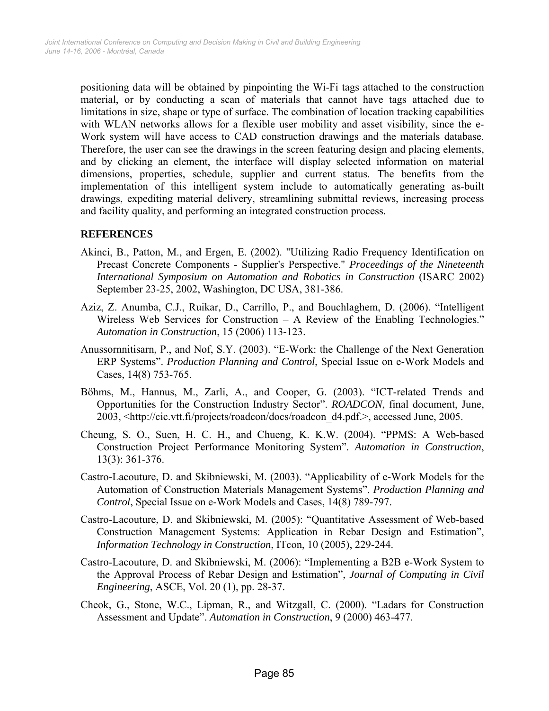positioning data will be obtained by pinpointing the Wi-Fi tags attached to the construction material, or by conducting a scan of materials that cannot have tags attached due to limitations in size, shape or type of surface. The combination of location tracking capabilities with WLAN networks allows for a flexible user mobility and asset visibility, since the e-Work system will have access to CAD construction drawings and the materials database. Therefore, the user can see the drawings in the screen featuring design and placing elements, and by clicking an element, the interface will display selected information on material dimensions, properties, schedule, supplier and current status. The benefits from the implementation of this intelligent system include to automatically generating as-built drawings, expediting material delivery, streamlining submittal reviews, increasing process and facility quality, and performing an integrated construction process.

### **REFERENCES**

- Akinci, B., Patton, M., and Ergen, E. (2002). "Utilizing Radio Frequency Identification on Precast Concrete Components - Supplier's Perspective." *Proceedings of the Nineteenth International Symposium on Automation and Robotics in Construction* (ISARC 2002) September 23-25, 2002, Washington, DC USA, 381-386.
- Aziz, Z. Anumba, C.J., Ruikar, D., Carrillo, P., and Bouchlaghem, D. (2006). "Intelligent Wireless Web Services for Construction – A Review of the Enabling Technologies." *Automation in Construction*, 15 (2006) 113-123.
- Anussornnitisarn, P., and Nof, S.Y. (2003). "E-Work: the Challenge of the Next Generation ERP Systems". *Production Planning and Control*, Special Issue on e-Work Models and Cases, 14(8) 753-765.
- Böhms, M., Hannus, M., Zarli, A., and Cooper, G. (2003). "ICT-related Trends and Opportunities for the Construction Industry Sector". *ROADCON*, final document, June, 2003, <http://cic.vtt.fi/projects/roadcon/docs/roadcon\_d4.pdf.>, accessed June, 2005.
- Cheung, S. O., Suen, H. C. H., and Chueng, K. K.W. (2004). "PPMS: A Web-based Construction Project Performance Monitoring System". *Automation in Construction*, 13(3): 361-376.
- Castro-Lacouture, D. and Skibniewski, M. (2003). "Applicability of e-Work Models for the Automation of Construction Materials Management Systems". *Production Planning and Control*, Special Issue on e-Work Models and Cases, 14(8) 789-797.
- Castro-Lacouture, D. and Skibniewski, M. (2005): "Quantitative Assessment of Web-based Construction Management Systems: Application in Rebar Design and Estimation", *Information Technology in Construction*, ITcon, 10 (2005), 229-244.
- Castro-Lacouture, D. and Skibniewski, M. (2006): "Implementing a B2B e-Work System to the Approval Process of Rebar Design and Estimation", *Journal of Computing in Civil Engineering*, ASCE, Vol. 20 (1), pp. 28-37.
- Cheok, G., Stone, W.C., Lipman, R., and Witzgall, C. (2000). "Ladars for Construction Assessment and Update". *Automation in Construction*, 9 (2000) 463-477.